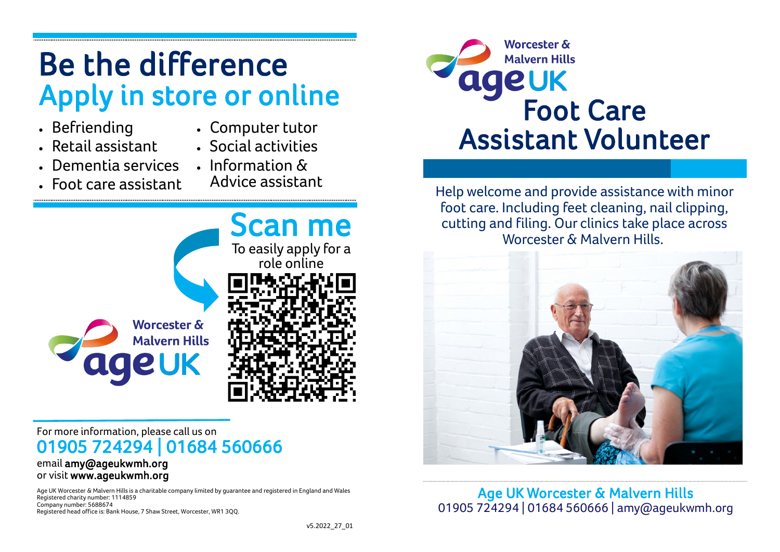# **Be the difference Apply in store or online**

- **Befriending**
- **Computer tutor**
- **Retail assistant**

• **Foot care assistant**

- **Social activities**
- **Dementia services**
	- **Information & Advice assistant**



#### **For more information, please call us on 01905 724294 | 01684 560666**

#### **email amy@ageukwmh.org or visit www.ageukwmh.org**

**Age UK Worcester & Malvern Hills is a charitable company limited by guarantee and registered in England and Wales Registered charity number: 1114859 Company number: 5688674 Registered head office is: Bank House, 7 Shaw Street, Worcester, WR1 3QQ.**



**Help welcome and provide assistance with minor foot care. Including feet cleaning, nail clipping, cutting and filing. Our clinics take place across Worcester & Malvern Hills.**



**Age UK Worcester & Malvern Hills 01905 724294 | 01684 560666 | amy@ageukwmh.org**